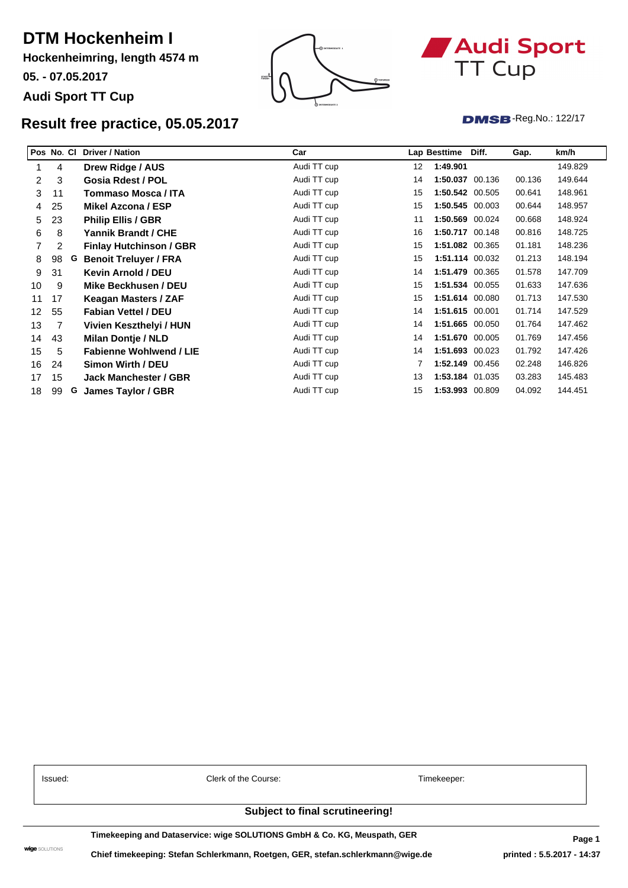## **DTM Hockenheim I**

**Hockenheimring, length 4574 m**

**05. - 07.05.2017**

### **Audi Sport TT Cup**



# Audi Sport TT Cup

**DMSB**-Reg.No.: 122/17

### **Result qualifying for race 2, 06.05.2017**

| Pos No. |    |   | <b>Driver / Nation</b>         | Car         |    | Lap Besttime    | Diff.           | Gap.   | km/h    |
|---------|----|---|--------------------------------|-------------|----|-----------------|-----------------|--------|---------|
|         | 43 |   | Milan Dontje / NLD             | Audi TT cup | 12 | 1:51.048        |                 |        | 148.282 |
| 2       | 3  |   | Gosia Rdest / POL              | Audi TT cup | 11 |                 | 1:51.067 00.019 | 00.019 | 148.256 |
| 3       | 8  |   | Yannik Brandt / CHE            | Audi TT cup | 11 |                 | 1:51.147 00.080 | 00.099 | 148.150 |
| 4       | 23 |   | <b>Philip Ellis / GBR</b>      | Audi TT cup | 11 | 1:51.148 00.001 |                 | 00.100 | 148.148 |
| 5.      | 31 |   | Kevin Arnold / DEU             | Audi TT cup | 10 |                 | 1:51.351 00.203 | 00.303 | 147.878 |
| 6       | 11 |   | Tommaso Mosca / ITA            | Audi TT cup | 14 | 1:51.389 00.038 |                 | 00.341 | 147.828 |
| 7       | 98 | G | <b>Benoit Treluver / FRA</b>   | Audi TT cup | 15 | 1:51.402 00.013 |                 | 00.354 | 147.811 |
| 8       | 25 |   | Mikel Azcona / ESP             | Audi TT cup | 15 | 1:51.488 00.086 |                 | 00.440 | 147.697 |
| 9       | 4  |   | Drew Ridge / AUS               | Audi TT cup | 13 | 1:51.613 00.125 |                 | 00.565 | 147.531 |
| 10      | 17 |   | Keagan Masters / ZAF           | Audi TT cup | 15 | 1:51.846 00.233 |                 | 00.798 | 147.224 |
| 11      | 55 |   | <b>Fabian Vettel / DEU</b>     | Audi TT cup | 13 |                 | 1:51.930 00.084 | 00.882 | 147.113 |
| 12      | 2  |   | <b>Finlay Hutchinson / GBR</b> | Audi TT cup | 12 |                 | 1:52.062 00.132 | 01.014 | 146.940 |
| 13      | 5  |   | <b>Fabienne Wohlwend / LIE</b> | Audi TT cup | 16 | 1:52.144 00.082 |                 | 01.096 | 146.833 |
| 14      | 9  |   | Mike Beckhusen / DEU           | Audi TT cup | 11 |                 | 1:52.362 00.218 | 01.314 | 146.548 |
| 15      | 7  |   | Vivien Keszthelyi / HUN        | Audi TT cup | 11 | 1:52.939 00.577 |                 | 01.891 | 145.799 |
| 16      | 15 |   | <b>Jack Manchester / GBR</b>   | Audi TT cup | 15 | 1:53.241 00.302 |                 | 02.193 | 145.410 |
| 17      | 99 | G | James Taylor / GBR             | Audi TT cup | 14 |                 | 1:53.669 00.428 | 02.621 | 144.863 |

**Time for Qualification: 2:13.344**

CARS # 2, 3, 4, 5, 11, 15, 17, 23, 25, 55 & 98 - CANCELLATION OF RELEVANT LAP TIMES

| Issued: | Clerk of the Course |
|---------|---------------------|
|         |                     |

Timekeeper:

#### **Subject to final scrutineering!**

**Timekeeping and Dataservice: wige SOLUTIONS GmbH & Co. KG, Meuspath, GER**

 $\textbf{wige}$  solutions